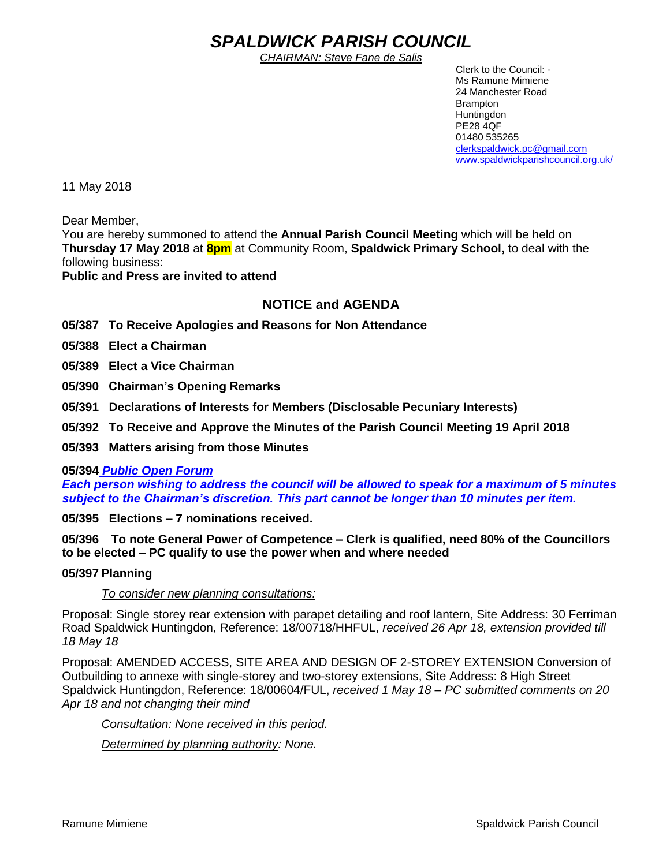# *SPALDWICK PARISH COUNCIL*

*CHAIRMAN: Steve Fane de Salis*

 Clerk to the Council: - Ms Ramune Mimiene 24 Manchester Road Brampton **Huntingdon** PE28 4QF 01480 535265 [clerkspaldwick.pc@gmail.com](mailto:clerkspaldwick.pc@gmail.com) [www.spaldwickparishcouncil.org.uk/](http://www.spaldwickparishcouncil.org.uk/)

11 May 2018

Dear Member,

You are hereby summoned to attend the **Annual Parish Council Meeting** which will be held on **Thursday 17 May 2018** at **8pm** at Community Room, **Spaldwick Primary School,** to deal with the following business:

**Public and Press are invited to attend**

# **NOTICE and AGENDA**

**05/387 To Receive Apologies and Reasons for Non Attendance**

**05/388 Elect a Chairman**

**05/389 Elect a Vice Chairman**

**05/390 Chairman's Opening Remarks**

**05/391 Declarations of Interests for Members (Disclosable Pecuniary Interests)**

**05/392 To Receive and Approve the Minutes of the Parish Council Meeting 19 April 2018**

**05/393 Matters arising from those Minutes**

#### **05/394** *Public Open Forum*

*Each person wishing to address the council will be allowed to speak for a maximum of 5 minutes subject to the Chairman's discretion. This part cannot be longer than 10 minutes per item.* 

**05/395 Elections – 7 nominations received.** 

**05/396 To note General Power of Competence – Clerk is qualified, need 80% of the Councillors to be elected – PC qualify to use the power when and where needed**

#### **05/397 Planning**

#### *To consider new planning consultations:*

Proposal: Single storey rear extension with parapet detailing and roof lantern, Site Address: [30 Ferriman](https://maps.google.com/?q=30+Ferriman+Road+Spaldwick+Huntingdon&entry=gmail&source=g)  [Road Spaldwick Huntingdon,](https://maps.google.com/?q=30+Ferriman+Road+Spaldwick+Huntingdon&entry=gmail&source=g) Reference: 18/00718/HHFUL, *received 26 Apr 18, extension provided till 18 May 18*

Proposal: AMENDED ACCESS, SITE AREA AND DESIGN OF 2-STOREY EXTENSION Conversion of Outbuilding to annexe with single-storey and two-storey extensions, Site Address: [8 High Street](https://maps.google.com/?q=8+High+Street+Spaldwick+Huntingdon&entry=gmail&source=g)  [Spaldwick Huntingdon,](https://maps.google.com/?q=8+High+Street+Spaldwick+Huntingdon&entry=gmail&source=g) Reference: 18/00604/FUL, *received 1 May 18 – PC submitted comments on 20 Apr 18 and not changing their mind*

*Consultation: None received in this period.*

*Determined by planning authority: None.*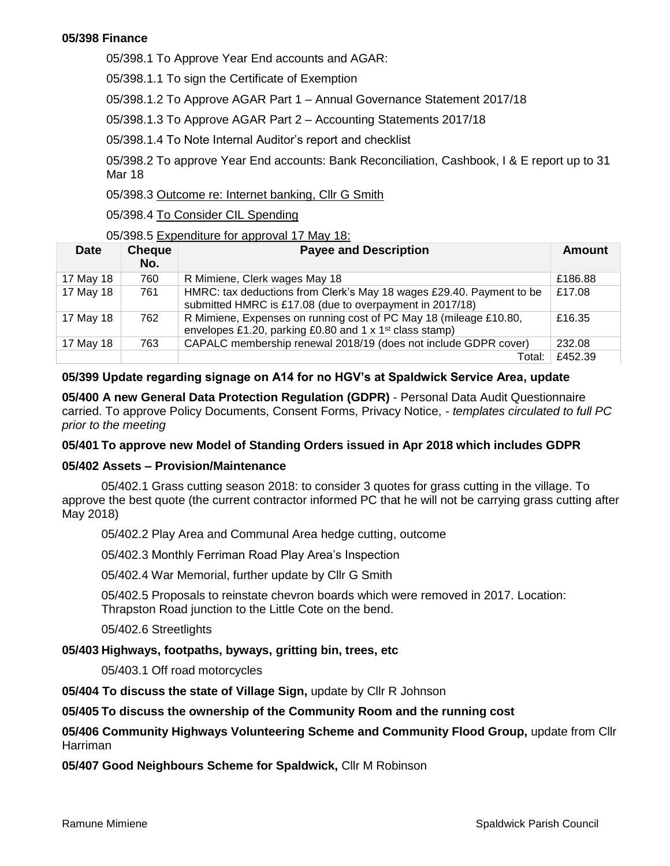#### **05/398 Finance**

05/398.1 To Approve Year End accounts and AGAR:

05/398.1.1 To sign the Certificate of Exemption

05/398.1.2 To Approve AGAR Part 1 – Annual Governance Statement 2017/18

05/398.1.3 To Approve AGAR Part 2 – Accounting Statements 2017/18

05/398.1.4 To Note Internal Auditor's report and checklist

05/398.2 To approve Year End accounts: Bank Reconciliation, Cashbook, I & E report up to 31 Mar 18

05/398.3 Outcome re: Internet banking, Cllr G Smith

05/398.4 To Consider CIL Spending

05/398.5 Expenditure for approval 17 May 18:

| <b>Date</b> | <b>Cheque</b><br>No. | <b>Payee and Description</b>                                                                                                             | Amount  |
|-------------|----------------------|------------------------------------------------------------------------------------------------------------------------------------------|---------|
| 17 May 18   | 760                  | R Mimiene, Clerk wages May 18                                                                                                            | £186.88 |
| 17 May 18   | 761                  | HMRC: tax deductions from Clerk's May 18 wages £29.40. Payment to be<br>submitted HMRC is £17.08 (due to overpayment in 2017/18)         | £17.08  |
| 17 May 18   | 762                  | R Mimiene, Expenses on running cost of PC May 18 (mileage £10.80,<br>envelopes £1.20, parking £0.80 and 1 x 1 <sup>st</sup> class stamp) | £16.35  |
| 17 May 18   | 763                  | CAPALC membership renewal 2018/19 (does not include GDPR cover)                                                                          | 232.08  |
|             |                      | Total:                                                                                                                                   | £452.39 |

## **05/399 Update regarding signage on A14 for no HGV's at Spaldwick Service Area, update**

**05/400 A new General Data Protection Regulation (GDPR)** - Personal Data Audit Questionnaire carried. To approve Policy Documents, Consent Forms, Privacy Notice, - *templates circulated to full PC prior to the meeting*

#### **05/401 To approve new Model of Standing Orders issued in Apr 2018 which includes GDPR**

#### **05/402 Assets – Provision/Maintenance**

05/402.1 Grass cutting season 2018: to consider 3 quotes for grass cutting in the village. To approve the best quote (the current contractor informed PC that he will not be carrying grass cutting after May 2018)

05/402.2 Play Area and Communal Area hedge cutting, outcome

05/402.3 Monthly Ferriman Road Play Area's Inspection

05/402.4 War Memorial, further update by Cllr G Smith

05/402.5 Proposals to reinstate chevron boards which were removed in 2017. Location: Thrapston Road junction to the Little Cote on the bend.

05/402.6 Streetlights

## **05/403 Highways, footpaths, byways, gritting bin, trees, etc**

05/403.1 Off road motorcycles

**05/404 To discuss the state of Village Sign,** update by Cllr R Johnson

#### **05/405 To discuss the ownership of the Community Room and the running cost**

## **05/406 Community Highways Volunteering Scheme and Community Flood Group,** update from Cllr Harriman

#### **05/407 Good Neighbours Scheme for Spaldwick,** Cllr M Robinson